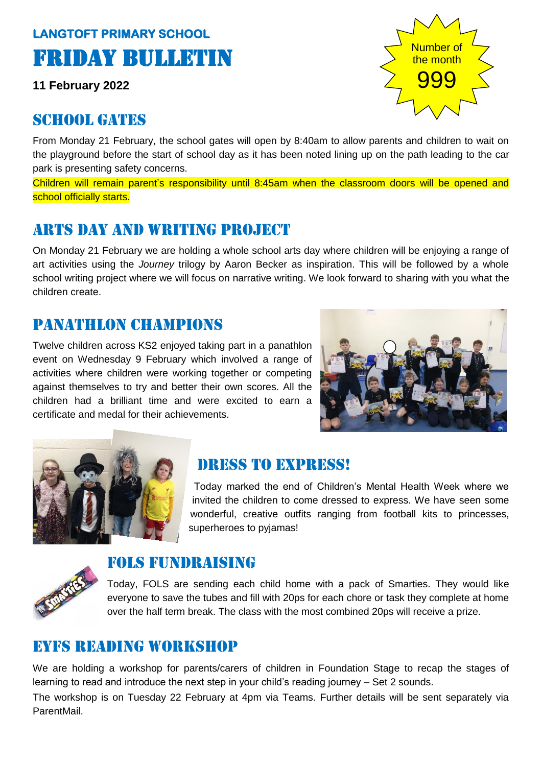## **LANGTOFT PRIMARY SCHOOL**  Friday Bulletin

**11 February 2022**

### SCHOOL GATES

From Monday 21 February, the school gates will open by 8:40am to allow parents and children to wait on the playground before the start of school day as it has been noted lining up on the path leading to the car park is presenting safety concerns.

Children will remain parent's responsibility until 8:45am when the classroom doors will be opened and school officially starts.

## Arts day and writing project

On Monday 21 February we are holding a whole school arts day where children will be enjoying a range of art activities using the *Journey* trilogy by Aaron Becker as inspiration. This will be followed by a whole school writing project where we will focus on narrative writing. We look forward to sharing with you what the children create.

## Panathlon champions

Twelve children across KS2 enjoyed taking part in a panathlon event on Wednesday 9 February which involved a range of activities where children were working together or competing against themselves to try and better their own scores. All the children had a brilliant time and were excited to earn a certificate and medal for their achievements.





## Dress to express!

Today marked the end of Children's Mental Health Week where we invited the children to come dressed to express. We have seen some wonderful, creative outfits ranging from football kits to princesses, superheroes to pyjamas!



### Fols fundraising

Today, FOLS are sending each child home with a pack of Smarties. They would like everyone to save the tubes and fill with 20ps for each chore or task they complete at home over the half term break. The class with the most combined 20ps will receive a prize.

### EYFS reading workshop

We are holding a workshop for parents/carers of children in Foundation Stage to recap the stages of learning to read and introduce the next step in your child's reading journey – Set 2 sounds.

The workshop is on Tuesday 22 February at 4pm via Teams. Further details will be sent separately via ParentMail.

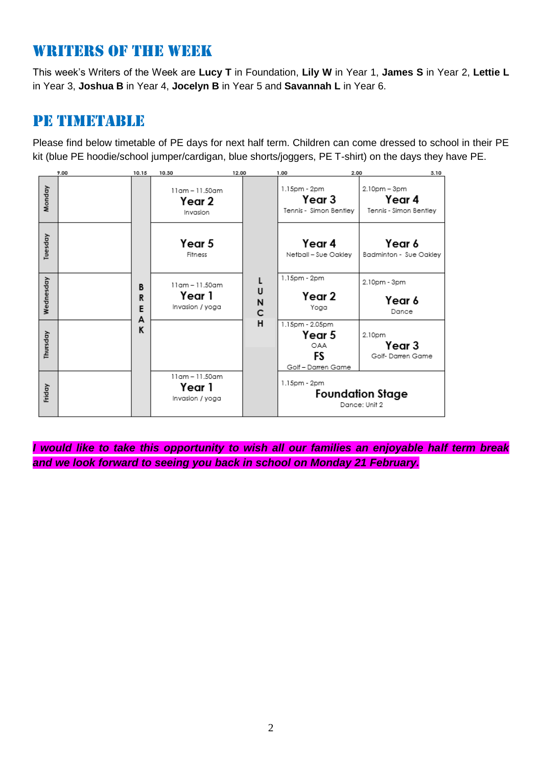## WRITERS OF THE WEEK

This week's Writers of the Week are **Lucy T** in Foundation, **Lily W** in Year 1, **James S** in Year 2, **Lettie L**  in Year 3, **Joshua B** in Year 4, **Jocelyn B** in Year 5 and **Savannah L** in Year 6.

### Pe timetable

Please find below timetable of PE days for next half term. Children can come dressed to school in their PE kit (blue PE hoodie/school jumper/cardigan, blue shorts/joggers, PE T-shirt) on the days they have PE.

| 9.00      |  | 10.15                 | 10.30                                             | 12.00            | 1.00                                                         | 3.10<br>2.00                                     |
|-----------|--|-----------------------|---------------------------------------------------|------------------|--------------------------------------------------------------|--------------------------------------------------|
| Monday    |  | B<br>R<br>E<br>A<br>κ | $11$ am - $11.50$ am<br>Year 2<br>Invasion        |                  | 1.15pm - 2pm<br>Year 3<br>Tennis - Simon Bentley             | 2.10pm - 3pm<br>Year 4<br>Tennis - Simon Bentley |
| Tuesday   |  |                       | Year 5<br>Fitness                                 |                  | Year 4<br>Netball - Sue Oakley                               | Year 6<br>Badminton - Sue Oakley                 |
| Wednesday |  |                       | $11$ am - $11.50$ am<br>Year 1<br>Invasion / yoga | L<br>U<br>N<br>C | 1.15pm - 2pm<br>Year 2<br>Yoga                               | 2.10pm - 3pm<br>Year 6<br>Dance                  |
| Thursday  |  |                       |                                                   | н                | 1.15pm - 2.05pm<br>Year 5<br>OAA<br>FS<br>Golf - Darren Game | 2.10pm<br>Year 3<br>Golf-Darren Game             |
| Friday    |  |                       | 11am - 11.50am<br>Year 1<br>Invasion / yoga       |                  | 1.15pm - 2pm<br><b>Foundation Stage</b><br>Dance: Unit 2     |                                                  |

*I would like to take this opportunity to wish all our families an enjoyable half term break and we look forward to seeing you back in school on Monday 21 February.*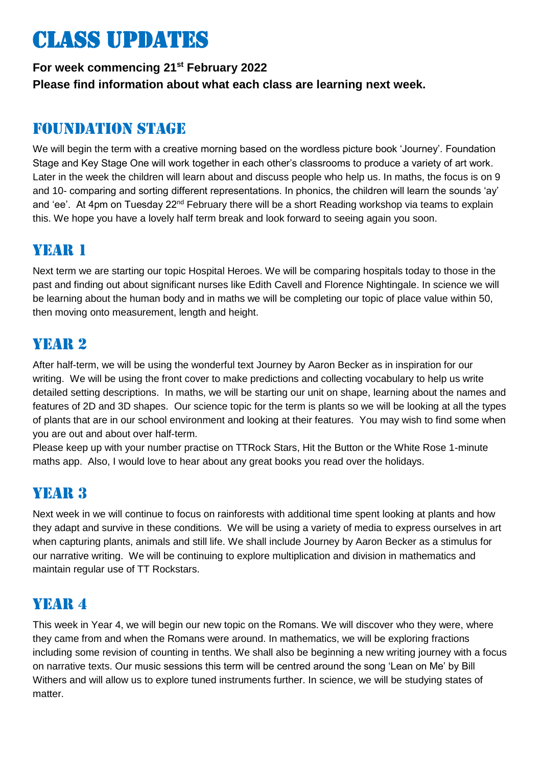# Class updates

#### **For week commencing 21st February 2022 Please find information about what each class are learning next week.**

## Foundation stage

We will begin the term with a creative morning based on the wordless picture book 'Journey'. Foundation Stage and Key Stage One will work together in each other's classrooms to produce a variety of art work. Later in the week the children will learn about and discuss people who help us. In maths, the focus is on 9 and 10- comparing and sorting different representations. In phonics, the children will learn the sounds 'ay' and 'ee'. At 4pm on Tuesday  $22^{nd}$  February there will be a short Reading workshop via teams to explain this. We hope you have a lovely half term break and look forward to seeing again you soon.

## YEAR 1

Next term we are starting our topic Hospital Heroes. We will be comparing hospitals today to those in the past and finding out about significant nurses like Edith Cavell and Florence Nightingale. In science we will be learning about the human body and in maths we will be completing our topic of place value within 50, then moving onto measurement, length and height.

## YEAR 2

After half-term, we will be using the wonderful text Journey by Aaron Becker as in inspiration for our writing. We will be using the front cover to make predictions and collecting vocabulary to help us write detailed setting descriptions. In maths, we will be starting our unit on shape, learning about the names and features of 2D and 3D shapes. Our science topic for the term is plants so we will be looking at all the types of plants that are in our school environment and looking at their features. You may wish to find some when you are out and about over half-term.

Please keep up with your number practise on TTRock Stars, Hit the Button or the White Rose 1-minute maths app. Also, I would love to hear about any great books you read over the holidays.

## YEAR 3

Next week in we will continue to focus on rainforests with additional time spent looking at plants and how they adapt and survive in these conditions. We will be using a variety of media to express ourselves in art when capturing plants, animals and still life. We shall include Journey by Aaron Becker as a stimulus for our narrative writing. We will be continuing to explore multiplication and division in mathematics and maintain regular use of TT Rockstars.

## YEAR 4

This week in Year 4, we will begin our new topic on the Romans. We will discover who they were, where they came from and when the Romans were around. In mathematics, we will be exploring fractions including some revision of counting in tenths. We shall also be beginning a new writing journey with a focus on narrative texts. Our music sessions this term will be centred around the song 'Lean on Me' by Bill Withers and will allow us to explore tuned instruments further. In science, we will be studying states of matter.